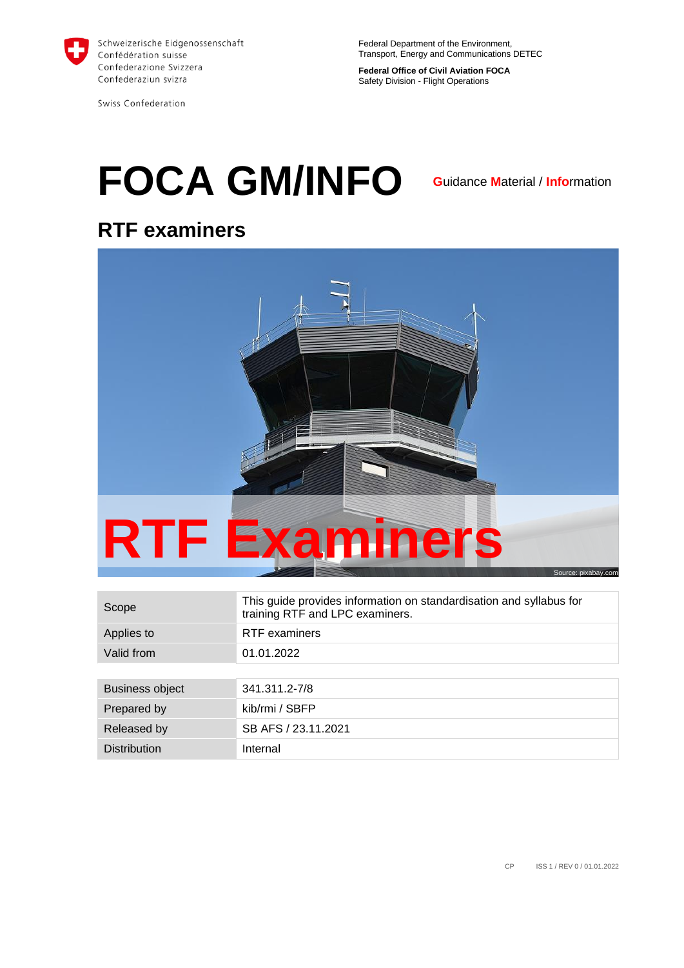

Swiss Confederation

Federal Department of the Environment, Transport, Energy and Communications DETEC

**Federal Office of Civil Aviation FOCA** Safety Division - Flight Operations

# **FOCA GM/INFO**

**G**uidance **M**aterial / **Info**rmation

## **RTF examiners**



<span id="page-0-0"></span>

| Scope               | This guide provides information on standardisation and syllabus for<br>training RTF and LPC examiners. |
|---------------------|--------------------------------------------------------------------------------------------------------|
| Applies to          | <b>RTF</b> examiners                                                                                   |
| Valid from          | 01.01.2022                                                                                             |
|                     |                                                                                                        |
| Business object     | 341.311.2-7/8                                                                                          |
| Prepared by         | kib/rmi / SBFP                                                                                         |
| Released by         | SB AFS / 23.11.2021                                                                                    |
| <b>Distribution</b> | Internal                                                                                               |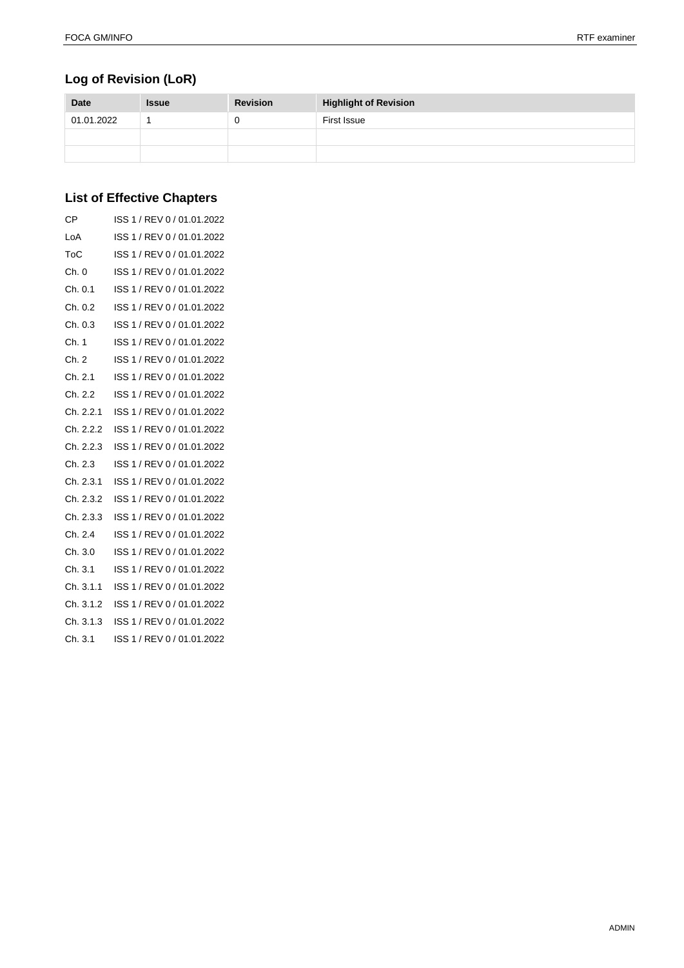#### **Log of Revision (LoR)**

| <b>Date</b> | <b>Issue</b> | <b>Revision</b> | <b>Highlight of Revision</b> |
|-------------|--------------|-----------------|------------------------------|
| 01.01.2022  |              |                 | First Issue                  |
|             |              |                 |                              |
|             |              |                 |                              |

#### **List of Effective Chapters**

| <b>CP</b> | ISS 1 / REV 0 / 01.01.2022 |
|-----------|----------------------------|
| LoA       | ISS 1 / REV 0 / 01.01.2022 |
| ToC       | ISS 1 / REV 0 / 01.01.2022 |
| Ch. 0     | ISS 1 / REV 0 / 01.01.2022 |
| Ch. 0.1   | ISS 1 / REV 0 / 01.01.2022 |
| Ch. 0.2   | ISS 1 / REV 0 / 01.01.2022 |
| Ch. 0.3   | ISS 1 / REV 0 / 01.01.2022 |
| Ch. 1     | ISS 1 / REV 0 / 01.01.2022 |
| Ch. 2     | ISS 1 / REV 0 / 01.01.2022 |
| Ch. 2.1   | ISS 1 / REV 0 / 01.01.2022 |
| Ch. 2.2   | ISS 1 / REV 0 / 01.01.2022 |
| Ch. 2.2.1 | ISS 1 / REV 0 / 01.01.2022 |
| Ch. 2.2.2 | ISS 1 / REV 0 / 01.01.2022 |
| Ch. 2.2.3 | ISS 1 / REV 0 / 01.01.2022 |
| Ch. 2.3   | ISS 1 / REV 0 / 01.01.2022 |
| Ch. 2.3.1 | ISS 1 / REV 0 / 01.01.2022 |
| Ch. 2.3.2 | ISS 1 / REV 0 / 01.01.2022 |
| Ch. 2.3.3 | ISS 1 / REV 0 / 01.01.2022 |
| Ch. 2.4   | ISS 1 / REV 0 / 01.01.2022 |
| Ch. 3.0   | ISS 1 / REV 0 / 01.01.2022 |
| Ch. 3.1   | ISS 1 / REV 0 / 01.01.2022 |
| Ch. 3.1.1 | ISS 1 / REV 0 / 01.01.2022 |
| Ch. 3.1.2 | ISS 1 / REV 0 / 01.01.2022 |
| Ch. 3.1.3 | ISS 1 / REV 0 / 01.01.2022 |
| Ch. 3.1   | ISS 1 / REV 0 / 01.01.2022 |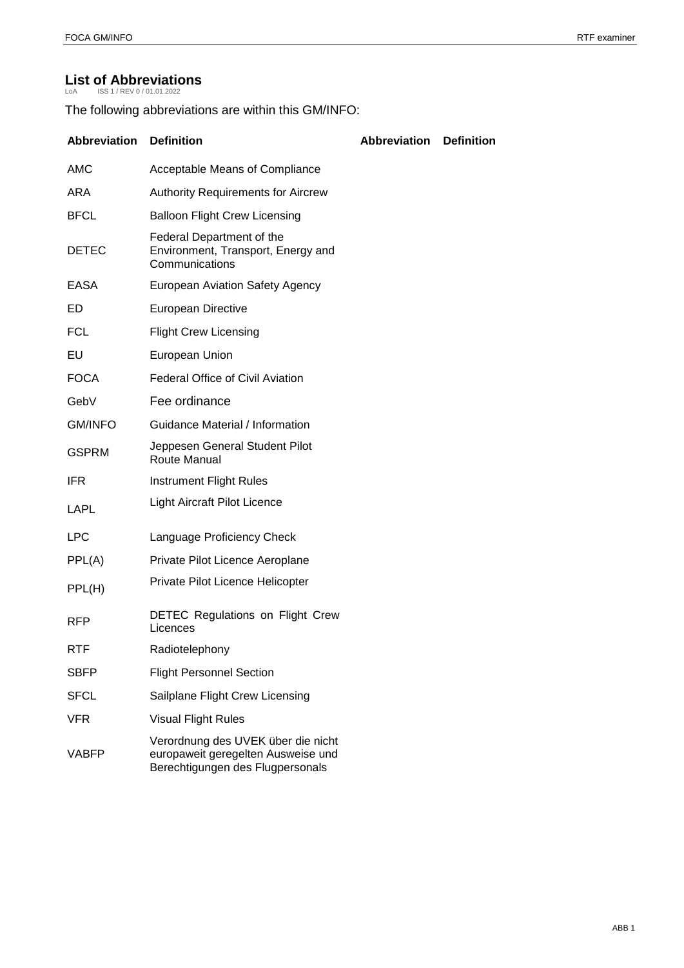## List of Abbreviations

<span id="page-2-0"></span>

The following abbreviations are within this GM/INFO:

| <b>Abbreviation</b> | <b>Definition</b>                                                                                            | <b>Abbreviation</b> | <b>Definition</b> |
|---------------------|--------------------------------------------------------------------------------------------------------------|---------------------|-------------------|
| <b>AMC</b>          | Acceptable Means of Compliance                                                                               |                     |                   |
| <b>ARA</b>          | <b>Authority Requirements for Aircrew</b>                                                                    |                     |                   |
| <b>BFCL</b>         | <b>Balloon Flight Crew Licensing</b>                                                                         |                     |                   |
| <b>DETEC</b>        | Federal Department of the<br>Environment, Transport, Energy and<br>Communications                            |                     |                   |
| EASA                | <b>European Aviation Safety Agency</b>                                                                       |                     |                   |
| ED                  | European Directive                                                                                           |                     |                   |
| FCL                 | <b>Flight Crew Licensing</b>                                                                                 |                     |                   |
| EU                  | European Union                                                                                               |                     |                   |
| <b>FOCA</b>         | <b>Federal Office of Civil Aviation</b>                                                                      |                     |                   |
| GebV                | Fee ordinance                                                                                                |                     |                   |
| <b>GM/INFO</b>      | <b>Guidance Material / Information</b>                                                                       |                     |                   |
| <b>GSPRM</b>        | Jeppesen General Student Pilot<br>Route Manual                                                               |                     |                   |
| <b>IFR</b>          | Instrument Flight Rules                                                                                      |                     |                   |
| LAPL                | <b>Light Aircraft Pilot Licence</b>                                                                          |                     |                   |
| <b>LPC</b>          | Language Proficiency Check                                                                                   |                     |                   |
| PPL(A)              | Private Pilot Licence Aeroplane                                                                              |                     |                   |
| PPL(H)              | Private Pilot Licence Helicopter                                                                             |                     |                   |
| <b>RFP</b>          | <b>DETEC Regulations on Flight Crew</b><br>Licences                                                          |                     |                   |
| RTF                 | Radiotelephony                                                                                               |                     |                   |
| <b>SBFP</b>         | <b>Flight Personnel Section</b>                                                                              |                     |                   |
| <b>SFCL</b>         | Sailplane Flight Crew Licensing                                                                              |                     |                   |
| <b>VFR</b>          | <b>Visual Flight Rules</b>                                                                                   |                     |                   |
| VABFP               | Verordnung des UVEK über die nicht<br>europaweit geregelten Ausweise und<br>Berechtigungen des Flugpersonals |                     |                   |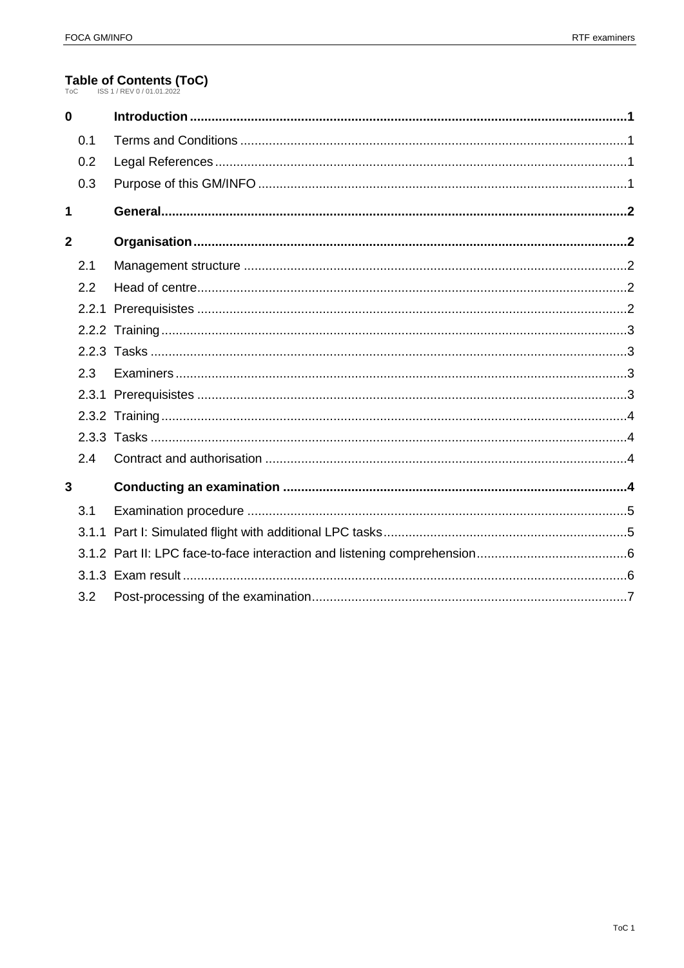## Table of Contents (ToC)

<span id="page-3-0"></span>

| $\bf{0}$       |     |  |
|----------------|-----|--|
|                | 0.1 |  |
|                | 0.2 |  |
|                | 0.3 |  |
| 1              |     |  |
| $\overline{2}$ |     |  |
|                | 2.1 |  |
|                | 2.2 |  |
|                |     |  |
|                |     |  |
|                |     |  |
|                | 2.3 |  |
|                |     |  |
|                |     |  |
|                |     |  |
|                | 2.4 |  |
| 3              |     |  |
|                | 3.1 |  |
|                |     |  |
|                |     |  |
|                |     |  |
|                | 3.2 |  |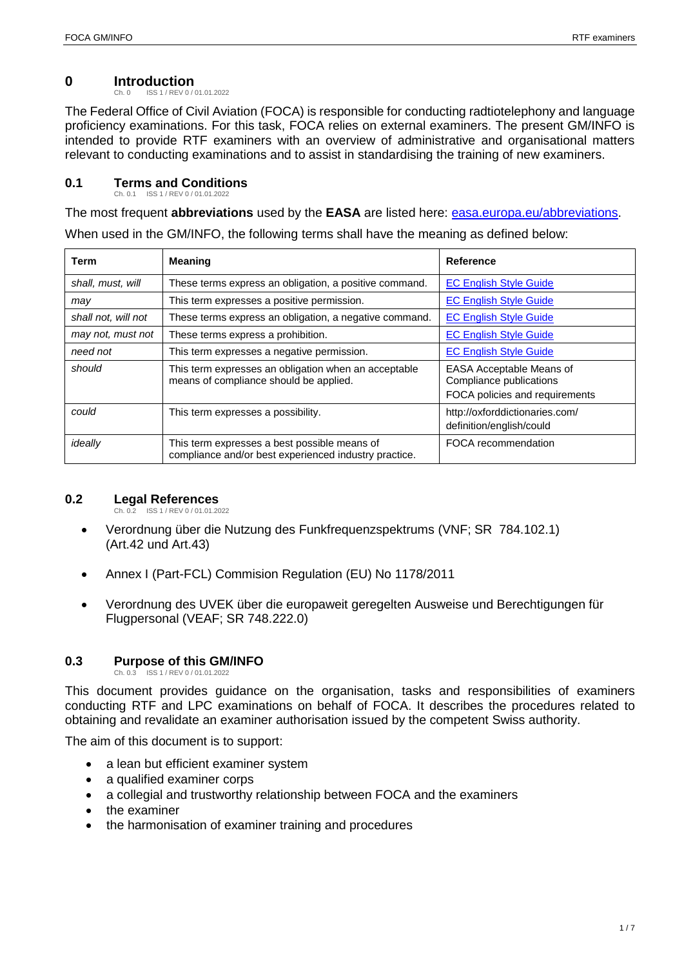## <span id="page-4-4"></span>**0 Introduction**

<span id="page-4-0"></span>ISS 1 / REV 0 / 01.01.2022

The Federal Office of Civil Aviation (FOCA) is responsible for conducting radtiotelephony and language proficiency examinations. For this task, FOCA relies on external examiners. The present GM/INFO is intended to provide RTF examiners with an overview of administrative and organisational matters relevant to conducting examinations and to assist in standardising the training of new examiners.

#### <span id="page-4-5"></span><span id="page-4-1"></span>**0.1 Terms and Conditions** Ch. 0.1 ISS 1 / REV 0 / 01.01.2022

The most frequent **abbreviations** used by the **EASA** are listed here: [easa.europa.eu/abbreviations.](http://www.easa.europa.eu/abbreviations)

When used in the GM/INFO, the following terms shall have the meaning as defined below:

| Term                | <b>Meaning</b>                                                                                        | Reference                                                                                    |
|---------------------|-------------------------------------------------------------------------------------------------------|----------------------------------------------------------------------------------------------|
| shall, must, will   | These terms express an obligation, a positive command.                                                | <b>EC English Style Guide</b>                                                                |
| may                 | This term expresses a positive permission.                                                            | <b>EC English Style Guide</b>                                                                |
| shall not, will not | These terms express an obligation, a negative command.                                                | <b>EC English Style Guide</b>                                                                |
| may not, must not   | These terms express a prohibition.                                                                    | <b>EC English Style Guide</b>                                                                |
| need not            | This term expresses a negative permission.                                                            | <b>EC English Style Guide</b>                                                                |
| should              | This term expresses an obligation when an acceptable<br>means of compliance should be applied.        | <b>EASA Acceptable Means of</b><br>Compliance publications<br>FOCA policies and requirements |
| could               | This term expresses a possibility.                                                                    | http://oxforddictionaries.com/<br>definition/english/could                                   |
| ideally             | This term expresses a best possible means of<br>compliance and/or best experienced industry practice. | FOCA recommendation                                                                          |

#### <span id="page-4-6"></span>**0.2 Legal References**

<span id="page-4-2"></span>Ch. 0.2 ISS 1 / REV 0 / 01.01.2022

- Verordnung über die Nutzung des Funkfrequenzspektrums (VNF; SR 784.102.1) (Art.42 und Art.43)
- Annex I (Part-FCL) Commision Regulation (EU) No 1178/2011
- Verordnung des UVEK über die europaweit geregelten Ausweise und Berechtigungen für Flugpersonal (VEAF; SR 748.222.0)

### <span id="page-4-7"></span>**0.3 Purpose of this GM/INFO**

<span id="page-4-3"></span>Ch. 0.3 ISS 1 / REV 0 / 01.01.2022

This document provides guidance on the organisation, tasks and responsibilities of examiners conducting RTF and LPC examinations on behalf of FOCA. It describes the procedures related to obtaining and revalidate an examiner authorisation issued by the competent Swiss authority.

The aim of this document is to support:

- a lean but efficient examiner system
- a qualified examiner corps
- a collegial and trustworthy relationship between FOCA and the examiners
- the examiner
- the harmonisation of examiner training and procedures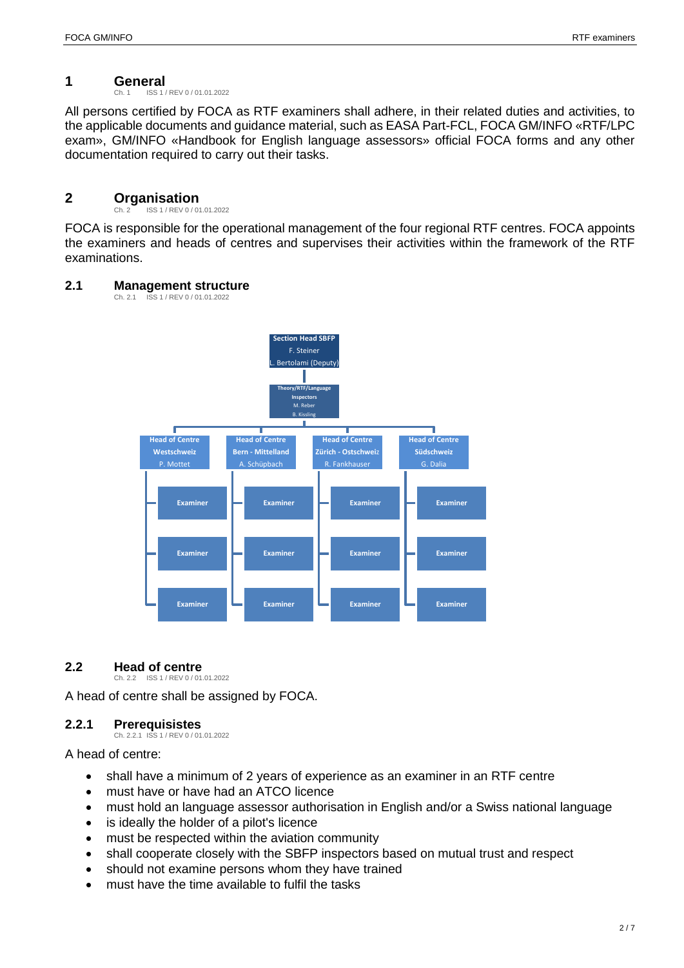## <span id="page-5-5"></span>**1 General**

<span id="page-5-0"></span>ISS 1 / REV 0 / 01.01.2022

All persons certified by FOCA as RTF examiners shall adhere, in their related duties and activities, to the applicable documents and guidance material, such as EASA Part-FCL, FOCA GM/INFO «RTF/LPC exam», GM/INFO «Handbook for English language assessors» official FOCA forms and any other documentation required to carry out their tasks.

## <span id="page-5-6"></span>**2 Organisation**<br>Ch. 2 **ISS 1/REV 0/01**

<span id="page-5-1"></span>ISS 1 / REV 0 / 01.01.2022

FOCA is responsible for the operational management of the four regional RTF centres. FOCA appoints the examiners and heads of centres and supervises their activities within the framework of the RTF examinations.

#### <span id="page-5-7"></span>**2.1 Management structure**

<span id="page-5-2"></span>Ch. 2.1 ISS 1 / REV 0 / 01.01.2022



#### <span id="page-5-8"></span>**2.2 Head of centre**

<span id="page-5-3"></span>Ch. 2.2 ISS 1 / REV 0 / 01.01.2022

A head of centre shall be assigned by FOCA.

#### <span id="page-5-9"></span><span id="page-5-4"></span>**2.2.1 Prerequisistes**

Ch. 2.2.1 ISS 1 / REV 0 / 01.01.2022

A head of centre:

- shall have a minimum of 2 years of experience as an examiner in an RTF centre
- must have or have had an ATCO licence
- must hold an language assessor authorisation in English and/or a Swiss national language
- is ideally the holder of a pilot's licence
- must be respected within the aviation community
- shall cooperate closely with the SBFP inspectors based on mutual trust and respect
- should not examine persons whom they have trained
- must have the time available to fulfil the tasks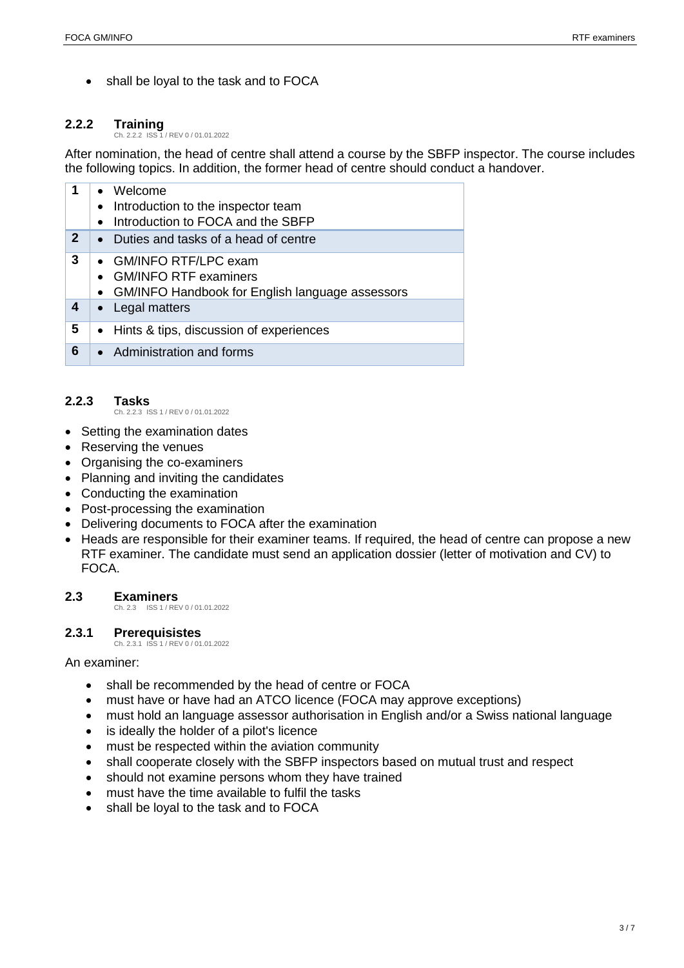• shall be loyal to the task and to FOCA

#### <span id="page-6-4"></span>**2.2.2 Training** Ch. 2.2.2 ISS 1 / REV 0 / 01.01.2022

<span id="page-6-0"></span>After nomination, the head of centre shall attend a course by the SBFP inspector. The course includes the following topics. In addition, the former head of centre should conduct a handover.

| 1            | • Welcome<br>• Introduction to the inspector team<br>Introduction to FOCA and the SBFP<br>$\bullet$    |
|--------------|--------------------------------------------------------------------------------------------------------|
| $\mathbf{2}$ | • Duties and tasks of a head of centre                                                                 |
| 3            | • GM/INFO RTF/LPC exam<br>• GM/INFO RTF examiners<br>• GM/INFO Handbook for English language assessors |
| 4            | • Legal matters                                                                                        |
| 5            | • Hints & tips, discussion of experiences                                                              |
| 6            | • Administration and forms                                                                             |

#### <span id="page-6-5"></span><span id="page-6-1"></span>**2.2.3 Tasks**

Ch. 2.2.3 ISS 1 / REV 0 / 01.01.2022

- Setting the examination dates
- Reserving the venues
- Organising the co-examiners
- Planning and inviting the candidates
- Conducting the examination
- Post-processing the examination
- Delivering documents to FOCA after the examination
- Heads are responsible for their examiner teams. If required, the head of centre can propose a new RTF examiner. The candidate must send an application dossier (letter of motivation and CV) to FOCA.

#### <span id="page-6-6"></span>**2.3 Examiners**

<span id="page-6-2"></span>Ch. 2.3 ISS 1 / REV 0 / 01.01.2022

#### <span id="page-6-7"></span><span id="page-6-3"></span>**2.3.1 Prerequisistes**

Ch. 2.3.1 ISS 1 / REV 0 / 01.01.2022

#### An examiner:

- shall be recommended by the head of centre or FOCA
- must have or have had an ATCO licence (FOCA may approve exceptions)
- must hold an language assessor authorisation in English and/or a Swiss national language
- is ideally the holder of a pilot's licence
- must be respected within the aviation community
- shall cooperate closely with the SBFP inspectors based on mutual trust and respect
- should not examine persons whom they have trained
- must have the time available to fulfil the tasks
- shall be loyal to the task and to FOCA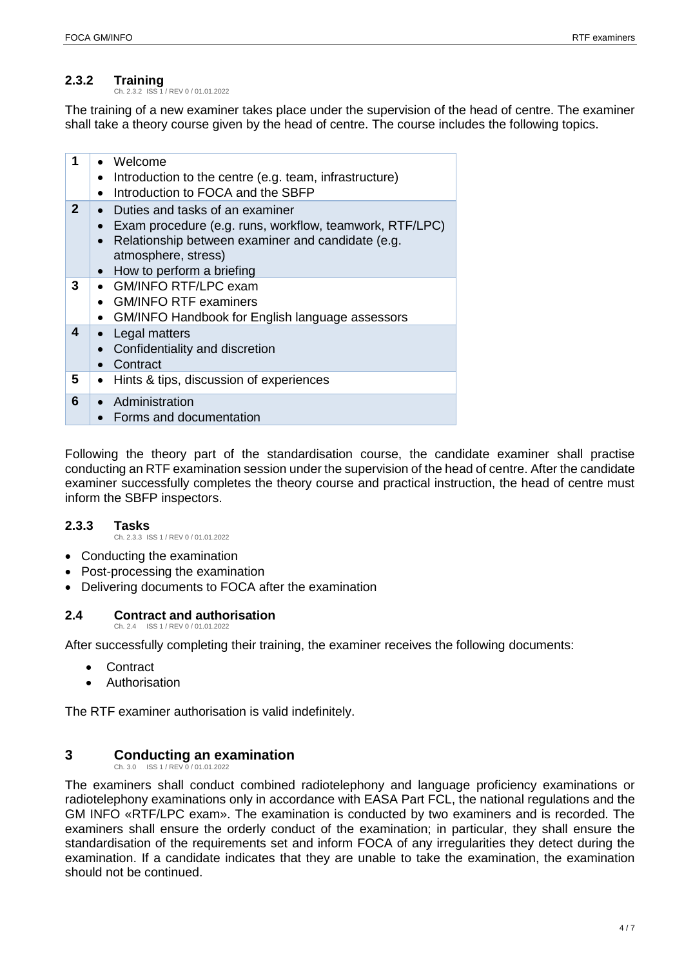#### <span id="page-7-4"></span>**2.3.2 Training** Ch. 2.3.2 ISS 1 / REV 0 / 01.01.2022

<span id="page-7-0"></span>The training of a new examiner takes place under the supervision of the head of centre. The examiner shall take a theory course given by the head of centre. The course includes the following topics.

| 1            | • Welcome<br>Introduction to the centre (e.g. team, infrastructure)<br>$\bullet$<br>Introduction to FOCA and the SBFP<br>$\bullet$                                                                                                |
|--------------|-----------------------------------------------------------------------------------------------------------------------------------------------------------------------------------------------------------------------------------|
| $\mathbf{2}$ | • Duties and tasks of an examiner<br>Exam procedure (e.g. runs, workflow, teamwork, RTF/LPC)<br>$\bullet$<br>Relationship between examiner and candidate (e.g.<br>$\bullet$<br>atmosphere, stress)<br>• How to perform a briefing |
| 3            | • GM/INFO RTF/LPC exam<br>• GM/INFO RTF examiners<br>• GM/INFO Handbook for English language assessors                                                                                                                            |
| 4            | Legal matters<br>Confidentiality and discretion<br>Contract<br>$\bullet$                                                                                                                                                          |
| 5            | Hints & tips, discussion of experiences<br>$\bullet$                                                                                                                                                                              |
| 6            | • Administration<br>Forms and documentation                                                                                                                                                                                       |

Following the theory part of the standardisation course, the candidate examiner shall practise conducting an RTF examination session under the supervision of the head of centre. After the candidate examiner successfully completes the theory course and practical instruction, the head of centre must inform the SBFP inspectors.

#### <span id="page-7-5"></span><span id="page-7-1"></span>**2.3.3 Tasks**

Ch. 2.3.3 ISS 1 / REV 0 / 01.01.2022

- Conducting the examination
- Post-processing the examination
- <span id="page-7-6"></span>Delivering documents to FOCA after the examination

#### **2.4 Contract and authorisation**

<span id="page-7-2"></span>Ch. 2.4 ISS 1 / REV 0 / 01.01.2022

After successfully completing their training, the examiner receives the following documents:

- **Contract**
- Authorisation

The RTF examiner authorisation is valid indefinitely.

### <span id="page-7-7"></span>**3 Conducting an examination**

<span id="page-7-3"></span> $Ch. 3.0$   $ISS 1 / PEV$ 

The examiners shall conduct combined radiotelephony and language proficiency examinations or radiotelephony examinations only in accordance with EASA Part FCL, the national regulations and the GM INFO «RTF/LPC exam». The examination is conducted by two examiners and is recorded. The examiners shall ensure the orderly conduct of the examination; in particular, they shall ensure the standardisation of the requirements set and inform FOCA of any irregularities they detect during the examination. If a candidate indicates that they are unable to take the examination, the examination should not be continued.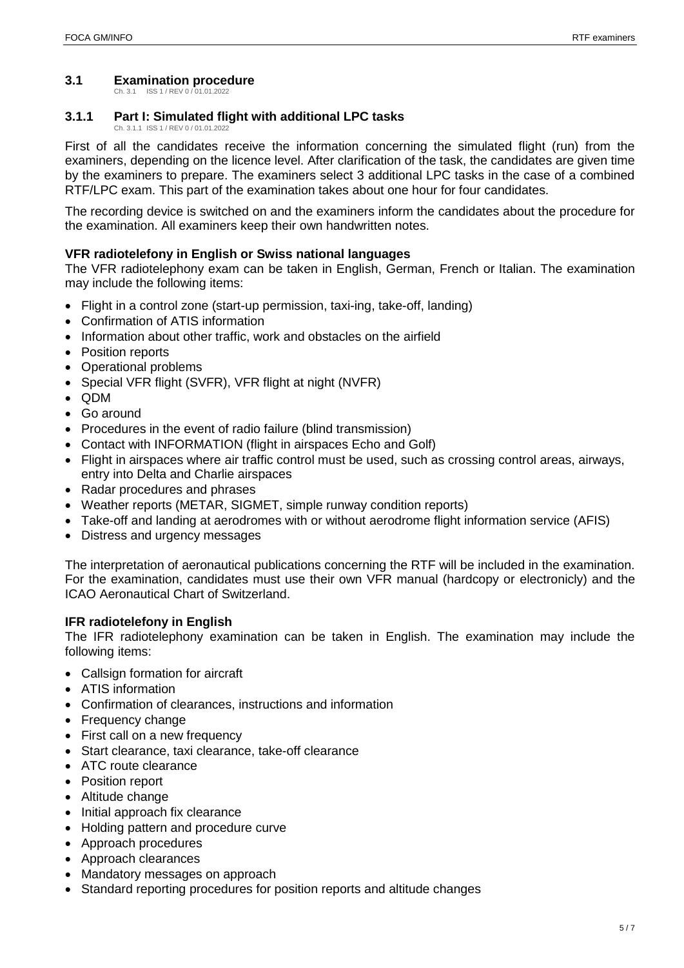#### <span id="page-8-2"></span><span id="page-8-0"></span>**3.1 Examination procedure**

Ch. 3.1 ISS 1 / REV 0 / 01.01.2022

#### <span id="page-8-3"></span><span id="page-8-1"></span>**3.1.1 Part I: Simulated flight with additional LPC tasks** Ch. 3.1.1 ISS 1 / REV 0 / 01.01.202

First of all the candidates receive the information concerning the simulated flight (run) from the examiners, depending on the licence level. After clarification of the task, the candidates are given time by the examiners to prepare. The examiners select 3 additional LPC tasks in the case of a combined RTF/LPC exam. This part of the examination takes about one hour for four candidates.

The recording device is switched on and the examiners inform the candidates about the procedure for the examination. All examiners keep their own handwritten notes.

#### **VFR radiotelefony in English or Swiss national languages**

The VFR radiotelephony exam can be taken in English, German, French or Italian. The examination may include the following items:

- Flight in a control zone (start-up permission, taxi-ing, take-off, landing)
- Confirmation of ATIS information
- Information about other traffic, work and obstacles on the airfield
- Position reports
- Operational problems
- Special VFR flight (SVFR), VFR flight at night (NVFR)
- $\bullet$  QDM
- Go around
- Procedures in the event of radio failure (blind transmission)
- Contact with INFORMATION (flight in airspaces Echo and Golf)
- Flight in airspaces where air traffic control must be used, such as crossing control areas, airways, entry into Delta and Charlie airspaces
- Radar procedures and phrases
- Weather reports (METAR, SIGMET, simple runway condition reports)
- Take-off and landing at aerodromes with or without aerodrome flight information service (AFIS)
- Distress and urgency messages

The interpretation of aeronautical publications concerning the RTF will be included in the examination. For the examination, candidates must use their own VFR manual (hardcopy or electronicly) and the ICAO Aeronautical Chart of Switzerland.

#### **IFR radiotelefony in English**

The IFR radiotelephony examination can be taken in English. The examination may include the following items:

- Callsign formation for aircraft
- ATIS information
- Confirmation of clearances, instructions and information
- Frequency change
- First call on a new frequency
- Start clearance, taxi clearance, take-off clearance
- ATC route clearance
- Position report
- Altitude change
- Initial approach fix clearance
- Holding pattern and procedure curve
- Approach procedures
- Approach clearances
- Mandatory messages on approach
- Standard reporting procedures for position reports and altitude changes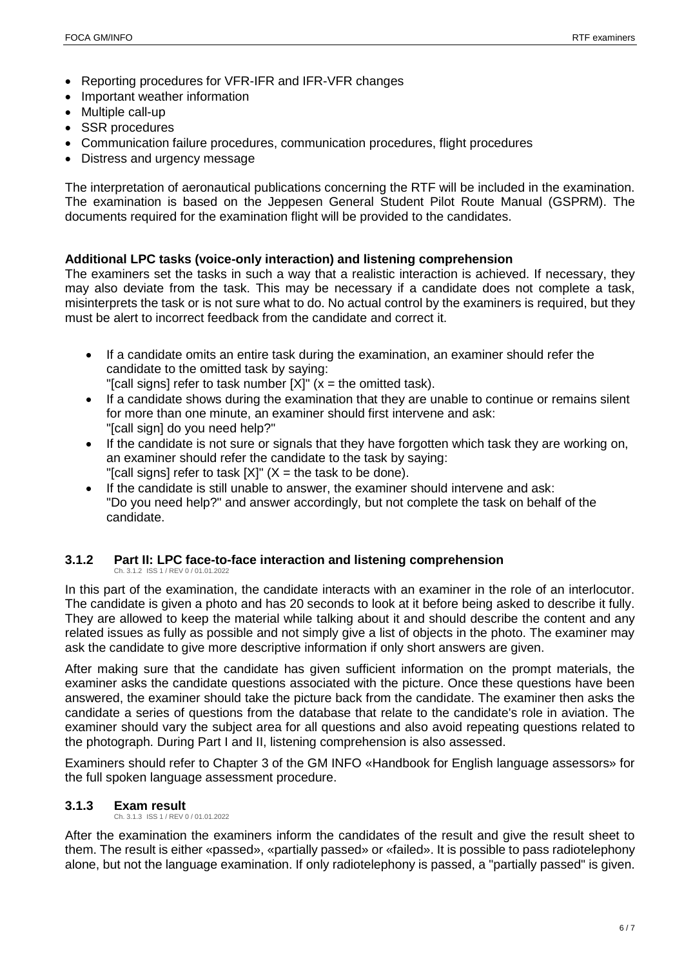- Reporting procedures for VFR-IFR and IFR-VFR changes
- Important weather information
- Multiple call-up
- SSR procedures
- Communication failure procedures, communication procedures, flight procedures
- Distress and urgency message

The interpretation of aeronautical publications concerning the RTF will be included in the examination. The examination is based on the Jeppesen General Student Pilot Route Manual (GSPRM). The documents required for the examination flight will be provided to the candidates.

#### **Additional LPC tasks (voice-only interaction) and listening comprehension**

The examiners set the tasks in such a way that a realistic interaction is achieved. If necessary, they may also deviate from the task. This may be necessary if a candidate does not complete a task, misinterprets the task or is not sure what to do. No actual control by the examiners is required, but they must be alert to incorrect feedback from the candidate and correct it.

- If a candidate omits an entire task during the examination, an examiner should refer the candidate to the omitted task by saying: "[call signs] refer to task number  $[X]$ " (x = the omitted task).
- If a candidate shows during the examination that they are unable to continue or remains silent for more than one minute, an examiner should first intervene and ask:
- "[call sign] do you need help?" • If the candidate is not sure or signals that they have forgotten which task they are working on, an examiner should refer the candidate to the task by saying: "[call signs] refer to task  $[X]$ " (X = the task to be done).
- If the candidate is still unable to answer, the examiner should intervene and ask: "Do you need help?" and answer accordingly, but not complete the task on behalf of the candidate.

#### <span id="page-9-2"></span>**3.1.2 Part II: LPC face-to-face interaction and listening comprehension** Ch. 3.1.2 ISS 1 / REV 0 / 01.01.2022

<span id="page-9-0"></span>In this part of the examination, the candidate interacts with an examiner in the role of an interlocutor. The candidate is given a photo and has 20 seconds to look at it before being asked to describe it fully. They are allowed to keep the material while talking about it and should describe the content and any related issues as fully as possible and not simply give a list of objects in the photo. The examiner may ask the candidate to give more descriptive information if only short answers are given.

After making sure that the candidate has given sufficient information on the prompt materials, the examiner asks the candidate questions associated with the picture. Once these questions have been answered, the examiner should take the picture back from the candidate. The examiner then asks the candidate a series of questions from the database that relate to the candidate's role in aviation. The examiner should vary the subject area for all questions and also avoid repeating questions related to the photograph. During Part I and II, listening comprehension is also assessed.

Examiners should refer to Chapter 3 of the GM INFO «Handbook for English language assessors» for the full spoken language assessment procedure.

#### <span id="page-9-3"></span>**3.1.3 Exam result**  Ch. 3.1.3 ISS 1 / REV 0 / 01.01.2022

<span id="page-9-1"></span>After the examination the examiners inform the candidates of the result and give the result sheet to them. The result is either «passed», «partially passed» or «failed». It is possible to pass radiotelephony alone, but not the language examination. If only radiotelephony is passed, a "partially passed" is given.